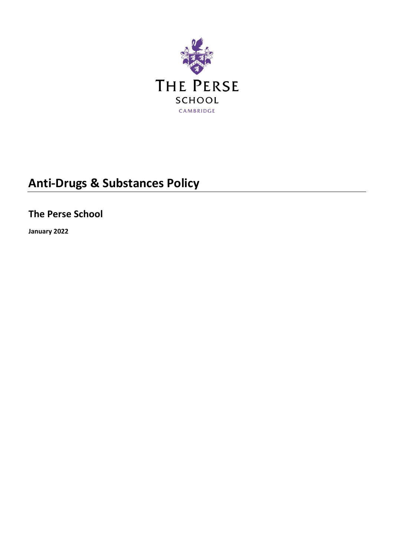

# **Anti-Drugs & Substances Policy**

**The Perse School**

**January 2022**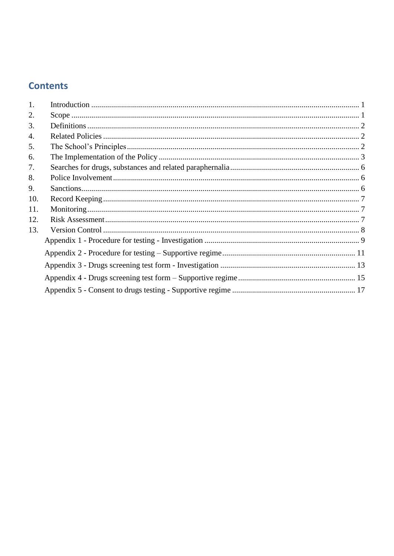# **Contents**

| 1.  |  |
|-----|--|
| 2.  |  |
| 3.  |  |
| 4.  |  |
| 5.  |  |
| 6.  |  |
| 7.  |  |
| 8.  |  |
| 9.  |  |
| 10. |  |
| 11. |  |
| 12. |  |
| 13. |  |
|     |  |
|     |  |
|     |  |
|     |  |
|     |  |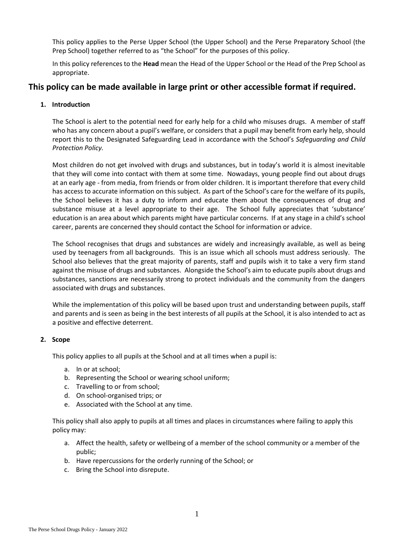This policy applies to the Perse Upper School (the Upper School) and the Perse Preparatory School (the Prep School) together referred to as "the School" for the purposes of this policy.

In this policy references to the **Head** mean the Head of the Upper School or the Head of the Prep School as appropriate.

## **This policy can be made available in large print or other accessible format if required.**

## <span id="page-2-0"></span>**1. Introduction**

The School is alert to the potential need for early help for a child who misuses drugs. A member of staff who has any concern about a pupil's welfare, or considers that a pupil may benefit from early help, should report this to the Designated Safeguarding Lead in accordance with the School's *Safeguarding and Child Protection Policy.*

Most children do not get involved with drugs and substances, but in today's world it is almost inevitable that they will come into contact with them at some time. Nowadays, young people find out about drugs at an early age - from media, from friends or from older children. It is important therefore that every child has access to accurate information on this subject. As part of the School's care for the welfare of its pupils, the School believes it has a duty to inform and educate them about the consequences of drug and substance misuse at a level appropriate to their age. The School fully appreciates that 'substance' education is an area about which parents might have particular concerns. If at any stage in a child's school career, parents are concerned they should contact the School for information or advice.

The School recognises that drugs and substances are widely and increasingly available, as well as being used by teenagers from all backgrounds. This is an issue which all schools must address seriously. The School also believes that the great majority of parents, staff and pupils wish it to take a very firm stand against the misuse of drugs and substances. Alongside the School's aim to educate pupils about drugs and substances, sanctions are necessarily strong to protect individuals and the community from the dangers associated with drugs and substances.

While the implementation of this policy will be based upon trust and understanding between pupils, staff and parents and is seen as being in the best interests of all pupils at the School, it is also intended to act as a positive and effective deterrent.

## <span id="page-2-1"></span>**2. Scope**

This policy applies to all pupils at the School and at all times when a pupil is:

- a. In or at school;
- b. Representing the School or wearing school uniform;
- c. Travelling to or from school;
- d. On school-organised trips; or
- e. Associated with the School at any time.

This policy shall also apply to pupils at all times and places in circumstances where failing to apply this policy may:

- a. Affect the health, safety or wellbeing of a member of the school community or a member of the public;
- b. Have repercussions for the orderly running of the School; or
- c. Bring the School into disrepute.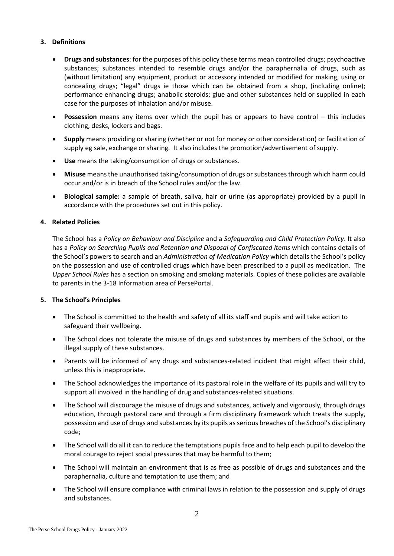## <span id="page-3-0"></span>**3. Definitions**

- **Drugs and substances**: for the purposes of this policy these terms mean controlled drugs; psychoactive substances; substances intended to resemble drugs and/or the paraphernalia of drugs, such as (without limitation) any equipment, product or accessory intended or modified for making, using or concealing drugs; "legal" drugs ie those which can be obtained from a shop, (including online); performance enhancing drugs; anabolic steroids; glue and other substances held or supplied in each case for the purposes of inhalation and/or misuse.
- **Possession** means any items over which the pupil has or appears to have control this includes clothing, desks, lockers and bags.
- **Supply** means providing or sharing (whether or not for money or other consideration) or facilitation of supply eg sale, exchange or sharing. It also includes the promotion/advertisement of supply.
- **Use** means the taking/consumption of drugs or substances.
- **Misuse** means the unauthorised taking/consumption of drugs or substances through which harm could occur and/or is in breach of the School rules and/or the law.
- **Biological sample:** a sample of breath, saliva, hair or urine (as appropriate) provided by a pupil in accordance with the procedures set out in this policy.

## <span id="page-3-1"></span>**4. Related Policies**

The School has a *Policy on Behaviour and Discipline* and a *Safeguarding and Child Protection Policy*. It also has a *Policy on Searching Pupils and Retention and Disposal of Confiscated Items* which contains details of the School's powers to search and an *Administration of Medication Policy* which details the School's policy on the possession and use of controlled drugs which have been prescribed to a pupil as medication. The *Upper School Rules* has a section on smoking and smoking materials. Copies of these policies are available to parents in the 3-18 Information area of PersePortal.

## <span id="page-3-2"></span>**5. The School's Principles**

- The School is committed to the health and safety of all its staff and pupils and will take action to safeguard their wellbeing.
- The School does not tolerate the misuse of drugs and substances by members of the School, or the illegal supply of these substances.
- Parents will be informed of any drugs and substances-related incident that might affect their child, unless this is inappropriate.
- The School acknowledges the importance of its pastoral role in the welfare of its pupils and will try to support all involved in the handling of drug and substances-related situations.
- The School will discourage the misuse of drugs and substances, actively and vigorously, through drugs education, through pastoral care and through a firm disciplinary framework which treats the supply, possession and use of drugs and substances by its pupils as serious breaches of the School's disciplinary code;
- The School will do all it can to reduce the temptations pupils face and to help each pupil to develop the moral courage to reject social pressures that may be harmful to them;
- The School will maintain an environment that is as free as possible of drugs and substances and the paraphernalia, culture and temptation to use them; and
- The School will ensure compliance with criminal laws in relation to the possession and supply of drugs and substances.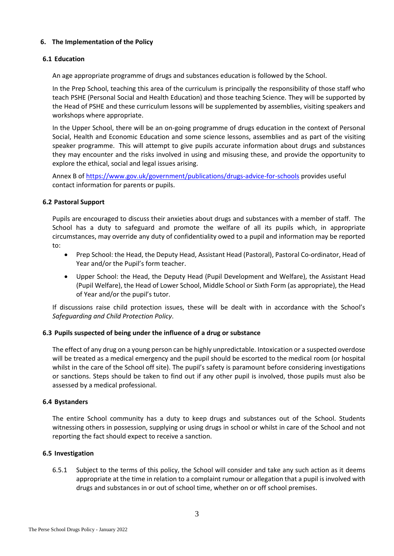## <span id="page-4-0"></span>**6. The Implementation of the Policy**

## **6.1 Education**

An age appropriate programme of drugs and substances education is followed by the School.

In the Prep School, teaching this area of the curriculum is principally the responsibility of those staff who teach PSHE (Personal Social and Health Education) and those teaching Science. They will be supported by the Head of PSHE and these curriculum lessons will be supplemented by assemblies, visiting speakers and workshops where appropriate.

In the Upper School, there will be an on-going programme of drugs education in the context of Personal Social, Health and Economic Education and some science lessons, assemblies and as part of the visiting speaker programme. This will attempt to give pupils accurate information about drugs and substances they may encounter and the risks involved in using and misusing these, and provide the opportunity to explore the ethical, social and legal issues arising.

Annex B of<https://www.gov.uk/government/publications/drugs-advice-for-schools> provides useful contact information for parents or pupils.

## **6.2 Pastoral Support**

Pupils are encouraged to discuss their anxieties about drugs and substances with a member of staff. The School has a duty to safeguard and promote the welfare of all its pupils which, in appropriate circumstances, may override any duty of confidentiality owed to a pupil and information may be reported to:

- Prep School: the Head, the Deputy Head, Assistant Head (Pastoral), Pastoral Co-ordinator, Head of Year and/or the Pupil's form teacher.
- Upper School: the Head, the Deputy Head (Pupil Development and Welfare), the Assistant Head (Pupil Welfare), the Head of Lower School, Middle School or Sixth Form (as appropriate), the Head of Year and/or the pupil's tutor.

If discussions raise child protection issues, these will be dealt with in accordance with the School's *Safeguarding and Child Protection Policy*.

## **6.3 Pupils suspected of being under the influence of a drug or substance**

The effect of any drug on a young person can be highly unpredictable. Intoxication or a suspected overdose will be treated as a medical emergency and the pupil should be escorted to the medical room (or hospital whilst in the care of the School off site). The pupil's safety is paramount before considering investigations or sanctions. Steps should be taken to find out if any other pupil is involved, those pupils must also be assessed by a medical professional.

## **6.4 Bystanders**

The entire School community has a duty to keep drugs and substances out of the School. Students witnessing others in possession, supplying or using drugs in school or whilst in care of the School and not reporting the fact should expect to receive a sanction.

## **6.5 Investigation**

6.5.1 Subject to the terms of this policy, the School will consider and take any such action as it deems appropriate at the time in relation to a complaint rumour or allegation that a pupil is involved with drugs and substances in or out of school time, whether on or off school premises.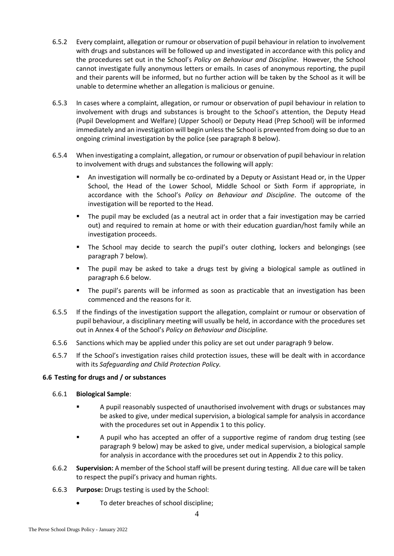- 6.5.2 Every complaint, allegation or rumour or observation of pupil behaviour in relation to involvement with drugs and substances will be followed up and investigated in accordance with this policy and the procedures set out in the School's *Policy on Behaviour and Discipline*. However, the School cannot investigate fully anonymous letters or emails. In cases of anonymous reporting, the pupil and their parents will be informed, but no further action will be taken by the School as it will be unable to determine whether an allegation is malicious or genuine.
- 6.5.3 In cases where a complaint, allegation, or rumour or observation of pupil behaviour in relation to involvement with drugs and substances is brought to the School's attention, the Deputy Head (Pupil Development and Welfare) (Upper School) or Deputy Head (Prep School) will be informed immediately and an investigation will begin unless the School is prevented from doing so due to an ongoing criminal investigation by the police (see paragraph [8](#page-7-1) below).
- 6.5.4 When investigating a complaint, allegation, or rumour or observation of pupil behaviour in relation to involvement with drugs and substances the following will apply:
	- An investigation will normally be co-ordinated by a Deputy or Assistant Head or, in the Upper School, the Head of the Lower School, Middle School or Sixth Form if appropriate, in accordance with the School's *Policy on Behaviour and Discipline*. The outcome of the investigation will be reported to the Head.
	- The pupil may be excluded (as a neutral act in order that a fair investigation may be carried out) and required to remain at home or with their education guardian/host family while an investigation proceeds.
	- The School may decide to search the pupil's outer clothing, lockers and belongings (see paragraph [7](#page-7-0) below).
	- The pupil may be asked to take a drugs test by giving a biological sample as outlined in paragraph [6.6](#page-5-0) below.
	- The pupil's parents will be informed as soon as practicable that an investigation has been commenced and the reasons for it.
- 6.5.5 If the findings of the investigation support the allegation, complaint or rumour or observation of pupil behaviour, a disciplinary meeting will usually be held, in accordance with the procedures set out in Annex 4 of the School's *Policy on Behaviour and Discipline.*
- 6.5.6 Sanctions which may be applied under this policy are set out under paragrap[h 9](#page-7-2) below.
- 6.5.7 If the School's investigation raises child protection issues, these will be dealt with in accordance with its *Safeguarding and Child Protection Policy.*

## <span id="page-5-0"></span>**6.6 Testing for drugs and / or substances**

## 6.6.1 **Biological Sample**:

- A pupil reasonably suspected of unauthorised involvement with drugs or substances may be asked to give, under medical supervision, a biological sample for analysis in accordance with the procedures set out in Appendix 1 to this policy.
- A pupil who has accepted an offer of a supportive regime of random drug testing (see paragraph [9](#page-7-2) below) may be asked to give, under medical supervision, a biological sample for analysis in accordance with the procedures set out in Appendix 2 to this policy.
- 6.6.2 **Supervision:** A member of the School staff will be present during testing. All due care will be taken to respect the pupil's privacy and human rights.
- 6.6.3 **Purpose:** Drugs testing is used by the School:
	- To deter breaches of school discipline;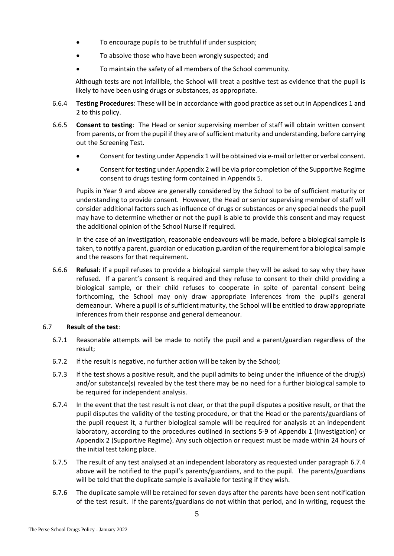- To encourage pupils to be truthful if under suspicion;
- To absolve those who have been wrongly suspected; and
- To maintain the safety of all members of the School community.

Although tests are not infallible, the School will treat a positive test as evidence that the pupil is likely to have been using drugs or substances, as appropriate.

- 6.6.4 **Testing Procedures**: These will be in accordance with good practice as set out in Appendices 1 and 2 to this policy.
- 6.6.5 **Consent to testing**: The Head or senior supervising member of staff will obtain written consent from parents, or from the pupil if they are of sufficient maturity and understanding, before carrying out the Screening Test.
	- Consent for testing under Appendix 1 will be obtained via e-mail or letter or verbal consent.
	- Consent for testing under Appendix 2 will be via prior completion of the Supportive Regime consent to drugs testing form contained in Appendix 5.

Pupils in Year 9 and above are generally considered by the School to be of sufficient maturity or understanding to provide consent. However, the Head or senior supervising member of staff will consider additional factors such as influence of drugs or substances or any special needs the pupil may have to determine whether or not the pupil is able to provide this consent and may request the additional opinion of the School Nurse if required.

In the case of an investigation, reasonable endeavours will be made, before a biological sample is taken, to notify a parent, guardian or education guardian of the requirement for a biological sample and the reasons for that requirement.

6.6.6 **Refusal**: If a pupil refuses to provide a biological sample they will be asked to say why they have refused. If a parent's consent is required and they refuse to consent to their child providing a biological sample, or their child refuses to cooperate in spite of parental consent being forthcoming, the School may only draw appropriate inferences from the pupil's general demeanour. Where a pupil is of sufficient maturity, the School will be entitled to draw appropriate inferences from their response and general demeanour.

## 6.7 **Result of the test**:

- 6.7.1 Reasonable attempts will be made to notify the pupil and a parent/guardian regardless of the result;
- 6.7.2 If the result is negative, no further action will be taken by the School;
- 6.7.3 If the test shows a positive result, and the pupil admits to being under the influence of the drug(s) and/or substance(s) revealed by the test there may be no need for a further biological sample to be required for independent analysis.
- <span id="page-6-0"></span>6.7.4 In the event that the test result is not clear, or that the pupil disputes a positive result, or that the pupil disputes the validity of the testing procedure, or that the Head or the parents/guardians of the pupil request it, a further biological sample will be required for analysis at an independent laboratory, according to the procedures outlined in sections 5-9 of Appendix 1 (Investigation) or Appendix 2 (Supportive Regime). Any such objection or request must be made within 24 hours of the initial test taking place.
- 6.7.5 The result of any test analysed at an independent laboratory as requested under paragraph [6.7.4](#page-6-0) above will be notified to the pupil's parents/guardians, and to the pupil. The parents/guardians will be told that the duplicate sample is available for testing if they wish.
- 6.7.6 The duplicate sample will be retained for seven days after the parents have been sent notification of the test result. If the parents/guardians do not within that period, and in writing, request the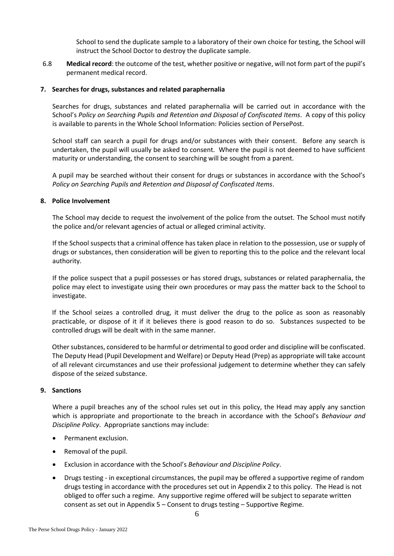School to send the duplicate sample to a laboratory of their own choice for testing, the School will instruct the School Doctor to destroy the duplicate sample.

6.8 **Medical record**: the outcome of the test, whether positive or negative, will not form part of the pupil's permanent medical record.

## <span id="page-7-0"></span>**7. Searches for drugs, substances and related paraphernalia**

Searches for drugs, substances and related paraphernalia will be carried out in accordance with the School's *Policy on Searching Pupils and Retention and Disposal of Confiscated Items*. A copy of this policy is available to parents in the Whole School Information: Policies section of PersePost.

School staff can search a pupil for drugs and/or substances with their consent. Before any search is undertaken, the pupil will usually be asked to consent. Where the pupil is not deemed to have sufficient maturity or understanding, the consent to searching will be sought from a parent.

A pupil may be searched without their consent for drugs or substances in accordance with the School's *Policy on Searching Pupils and Retention and Disposal of Confiscated Items*.

#### <span id="page-7-1"></span>**8. Police Involvement**

The School may decide to request the involvement of the police from the outset. The School must notify the police and/or relevant agencies of actual or alleged criminal activity.

If the School suspects that a criminal offence has taken place in relation to the possession, use or supply of drugs or substances, then consideration will be given to reporting this to the police and the relevant local authority.

If the police suspect that a pupil possesses or has stored drugs, substances or related paraphernalia, the police may elect to investigate using their own procedures or may pass the matter back to the School to investigate.

If the School seizes a controlled drug, it must deliver the drug to the police as soon as reasonably practicable, or dispose of it if it believes there is good reason to do so. Substances suspected to be controlled drugs will be dealt with in the same manner.

Other substances, considered to be harmful or detrimental to good order and discipline will be confiscated. The Deputy Head (Pupil Development and Welfare) or Deputy Head (Prep) as appropriate will take account of all relevant circumstances and use their professional judgement to determine whether they can safely dispose of the seized substance.

#### <span id="page-7-2"></span>**9. Sanctions**

Where a pupil breaches any of the school rules set out in this policy, the Head may apply any sanction which is appropriate and proportionate to the breach in accordance with the School's *Behaviour and Discipline Policy*. Appropriate sanctions may include:

- Permanent exclusion.
- Removal of the pupil.
- Exclusion in accordance with the School's *Behaviour and Discipline Policy*.
- Drugs testing in exceptional circumstances, the pupil may be offered a supportive regime of random drugs testing in accordance with the procedures set out in Appendix 2 to this policy. The Head is not obliged to offer such a regime. Any supportive regime offered will be subject to separate written consent as set out in Appendix 5 – Consent to drugs testing – Supportive Regime.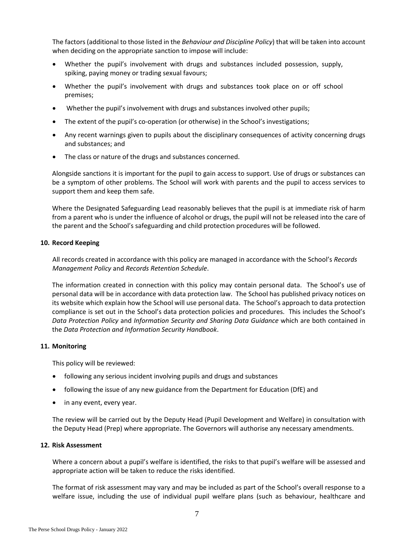The factors (additional to those listed in the *Behaviour and Discipline Policy*) that will be taken into account when deciding on the appropriate sanction to impose will include:

- Whether the pupil's involvement with drugs and substances included possession, supply, spiking, paying money or trading sexual favours;
- Whether the pupil's involvement with drugs and substances took place on or off school premises;
- Whether the pupil's involvement with drugs and substances involved other pupils;
- The extent of the pupil's co-operation (or otherwise) in the School's investigations;
- Any recent warnings given to pupils about the disciplinary consequences of activity concerning drugs and substances; and
- The class or nature of the drugs and substances concerned.

Alongside sanctions it is important for the pupil to gain access to support. Use of drugs or substances can be a symptom of other problems. The School will work with parents and the pupil to access services to support them and keep them safe.

Where the Designated Safeguarding Lead reasonably believes that the pupil is at immediate risk of harm from a parent who is under the influence of alcohol or drugs, the pupil will not be released into the care of the parent and the School's safeguarding and child protection procedures will be followed.

## <span id="page-8-0"></span>**10. Record Keeping**

All records created in accordance with this policy are managed in accordance with the School's *Records Management Policy* and *Records Retention Schedule*.

The information created in connection with this policy may contain personal data. The School's use of personal data will be in accordance with data protection law. The School has published privacy notices on its website which explain how the School will use personal data. The School's approach to data protection compliance is set out in the School's data protection policies and procedures. This includes the School's *Data Protection Policy* and *Information Security and Sharing Data Guidance* which are both contained in the *Data Protection and Information Security Handbook*.

## <span id="page-8-1"></span>**11. Monitoring**

This policy will be reviewed:

- following any serious incident involving pupils and drugs and substances
- following the issue of any new guidance from the Department for Education (DfE) and
- in any event, every year.

The review will be carried out by the Deputy Head (Pupil Development and Welfare) in consultation with the Deputy Head (Prep) where appropriate. The Governors will authorise any necessary amendments.

#### <span id="page-8-2"></span>**12. Risk Assessment**

Where a concern about a pupil's welfare is identified, the risks to that pupil's welfare will be assessed and appropriate action will be taken to reduce the risks identified.

The format of risk assessment may vary and may be included as part of the School's overall response to a welfare issue, including the use of individual pupil welfare plans (such as behaviour, healthcare and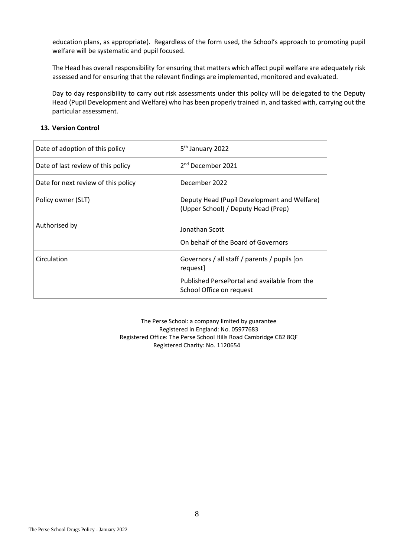education plans, as appropriate). Regardless of the form used, the School's approach to promoting pupil welfare will be systematic and pupil focused.

The Head has overall responsibility for ensuring that matters which affect pupil welfare are adequately risk assessed and for ensuring that the relevant findings are implemented, monitored and evaluated.

Day to day responsibility to carry out risk assessments under this policy will be delegated to the Deputy Head (Pupil Development and Welfare) who has been properly trained in, and tasked with, carrying out the particular assessment.

## <span id="page-9-0"></span>**13. Version Control**

| Date of adoption of this policy     | 5 <sup>th</sup> January 2022                                                       |
|-------------------------------------|------------------------------------------------------------------------------------|
| Date of last review of this policy  | 2 <sup>nd</sup> December 2021                                                      |
| Date for next review of this policy | December 2022                                                                      |
| Policy owner (SLT)                  | Deputy Head (Pupil Development and Welfare)<br>(Upper School) / Deputy Head (Prep) |
| Authorised by                       | Jonathan Scott<br>On behalf of the Board of Governors                              |
| Circulation                         | Governors / all staff / parents / pupils [on<br>request]                           |
|                                     | Published PersePortal and available from the<br>School Office on request           |

The Perse School: a company limited by guarantee Registered in England: No. 05977683 Registered Office: The Perse School Hills Road Cambridge CB2 8QF Registered Charity: No. 1120654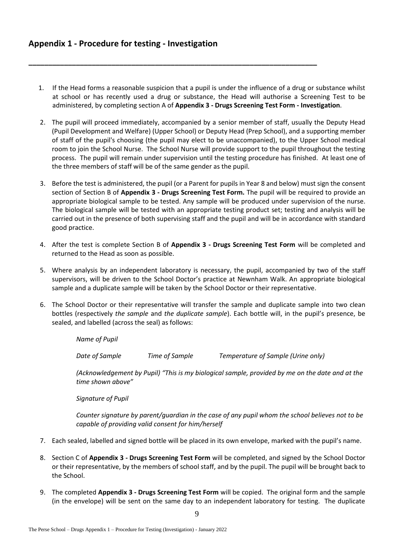1. If the Head forms a reasonable suspicion that a pupil is under the influence of a drug or substance whilst at school or has recently used a drug or substance, the Head will authorise a Screening Test to be administered, by completing section A of **Appendix 3 - Drugs Screening Test Form - Investigation**.

<span id="page-10-0"></span>**\_\_\_\_\_\_\_\_\_\_\_\_\_\_\_\_\_\_\_\_\_\_\_\_\_\_\_\_\_\_\_\_\_\_\_\_\_\_\_\_\_\_\_\_\_\_\_\_\_\_\_\_\_\_\_\_\_\_\_\_\_\_\_\_\_\_\_\_\_\_\_\_\_**

- 2. The pupil will proceed immediately, accompanied by a senior member of staff, usually the Deputy Head (Pupil Development and Welfare) (Upper School) or Deputy Head (Prep School), and a supporting member of staff of the pupil's choosing (the pupil may elect to be unaccompanied), to the Upper School medical room to join the School Nurse. The School Nurse will provide support to the pupil throughout the testing process. The pupil will remain under supervision until the testing procedure has finished. At least one of the three members of staff will be of the same gender as the pupil.
- 3. Before the test is administered, the pupil (or a Parent for pupils in Year 8 and below) must sign the consent section of Section B of **Appendix 3 - Drugs Screening Test Form.** The pupil will be required to provide an appropriate biological sample to be tested. Any sample will be produced under supervision of the nurse. The biological sample will be tested with an appropriate testing product set; testing and analysis will be carried out in the presence of both supervising staff and the pupil and will be in accordance with standard good practice.
- 4. After the test is complete Section B of **Appendix 3 - Drugs Screening Test Form** will be completed and returned to the Head as soon as possible.
- 5. Where analysis by an independent laboratory is necessary, the pupil, accompanied by two of the staff supervisors, will be driven to the School Doctor's practice at Newnham Walk. An appropriate biological sample and a duplicate sample will be taken by the School Doctor or their representative.
- 6. The School Doctor or their representative will transfer the sample and duplicate sample into two clean bottles (respectively *the sample* and *the duplicate sample*). Each bottle will, in the pupil's presence, be sealed, and labelled (across the seal) as follows:

*Name of Pupil*

*Date of Sample Time of Sample Temperature of Sample (Urine only)*

*(Acknowledgement by Pupil) "This is my biological sample, provided by me on the date and at the time shown above"*

*Signature of Pupil*

*Counter signature by parent/guardian in the case of any pupil whom the school believes not to be capable of providing valid consent for him/herself* 

- 7. Each sealed, labelled and signed bottle will be placed in its own envelope, marked with the pupil's name.
- 8. Section C of **Appendix 3 - Drugs Screening Test Form** will be completed, and signed by the School Doctor or their representative, by the members of school staff, and by the pupil. The pupil will be brought back to the School.
- 9. The completed **Appendix 3 - Drugs Screening Test Form** will be copied. The original form and the sample (in the envelope) will be sent on the same day to an independent laboratory for testing. The duplicate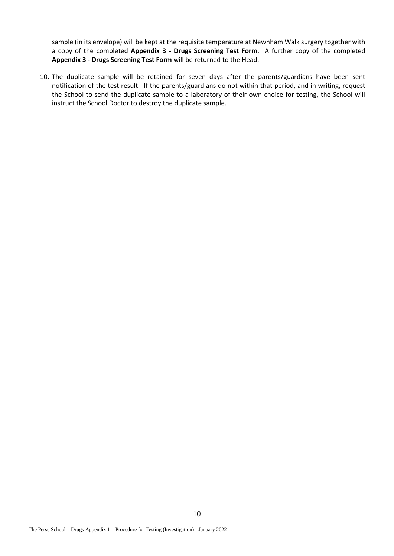sample (in its envelope) will be kept at the requisite temperature at Newnham Walk surgery together with a copy of the completed **Appendix 3 - Drugs Screening Test Form**. A further copy of the completed **Appendix 3 - Drugs Screening Test Form** will be returned to the Head.

10. The duplicate sample will be retained for seven days after the parents/guardians have been sent notification of the test result. If the parents/guardians do not within that period, and in writing, request the School to send the duplicate sample to a laboratory of their own choice for testing, the School will instruct the School Doctor to destroy the duplicate sample.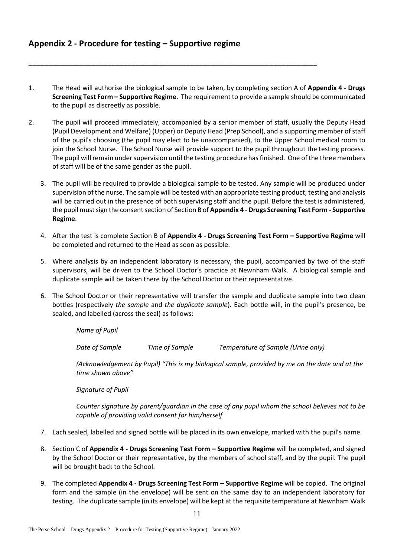1. The Head will authorise the biological sample to be taken, by completing section A of **Appendix 4 - Drugs Screening Test Form – Supportive Regime**. The requirement to provide a sample should be communicated to the pupil as discreetly as possible.

<span id="page-12-0"></span>**\_\_\_\_\_\_\_\_\_\_\_\_\_\_\_\_\_\_\_\_\_\_\_\_\_\_\_\_\_\_\_\_\_\_\_\_\_\_\_\_\_\_\_\_\_\_\_\_\_\_\_\_\_\_\_\_\_\_\_\_\_\_\_\_\_\_\_\_\_\_\_\_\_**

- 2. The pupil will proceed immediately, accompanied by a senior member of staff, usually the Deputy Head (Pupil Development and Welfare) (Upper) or Deputy Head (Prep School), and a supporting member of staff of the pupil's choosing (the pupil may elect to be unaccompanied), to the Upper School medical room to join the School Nurse. The School Nurse will provide support to the pupil throughout the testing process. The pupil will remain under supervision until the testing procedure has finished. One of the three members of staff will be of the same gender as the pupil.
	- 3. The pupil will be required to provide a biological sample to be tested. Any sample will be produced under supervision of the nurse. The sample will be tested with an appropriate testing product; testing and analysis will be carried out in the presence of both supervising staff and the pupil. Before the test is administered, the pupil must sign the consent section of Section B of **Appendix 4 - Drugs Screening Test Form - Supportive Regime**.
	- 4. After the test is complete Section B of **Appendix 4 - Drugs Screening Test Form – Supportive Regime** will be completed and returned to the Head as soon as possible.
	- 5. Where analysis by an independent laboratory is necessary, the pupil, accompanied by two of the staff supervisors, will be driven to the School Doctor's practice at Newnham Walk. A biological sample and duplicate sample will be taken there by the School Doctor or their representative.
	- 6. The School Doctor or their representative will transfer the sample and duplicate sample into two clean bottles (respectively *the sample* and *the duplicate sample*). Each bottle will, in the pupil's presence, be sealed, and labelled (across the seal) as follows:

*Name of Pupil*

*Date of Sample Time of Sample Temperature of Sample (Urine only)*

*(Acknowledgement by Pupil) "This is my biological sample, provided by me on the date and at the time shown above"*

*Signature of Pupil*

*Counter signature by parent/guardian in the case of any pupil whom the school believes not to be capable of providing valid consent for him/herself* 

- 7. Each sealed, labelled and signed bottle will be placed in its own envelope, marked with the pupil's name.
- 8. Section C of **Appendix 4 - Drugs Screening Test Form – Supportive Regime** will be completed, and signed by the School Doctor or their representative, by the members of school staff, and by the pupil. The pupil will be brought back to the School.
- 9. The completed **Appendix 4 - Drugs Screening Test Form – Supportive Regime** will be copied. The original form and the sample (in the envelope) will be sent on the same day to an independent laboratory for testing. The duplicate sample (in its envelope) will be kept at the requisite temperature at Newnham Walk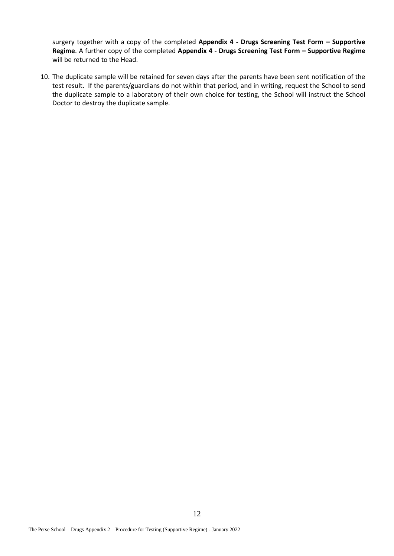surgery together with a copy of the completed **Appendix 4 - Drugs Screening Test Form – Supportive Regime**. A further copy of the completed **Appendix 4 - Drugs Screening Test Form – Supportive Regime** will be returned to the Head.

10. The duplicate sample will be retained for seven days after the parents have been sent notification of the test result. If the parents/guardians do not within that period, and in writing, request the School to send the duplicate sample to a laboratory of their own choice for testing, the School will instruct the School Doctor to destroy the duplicate sample.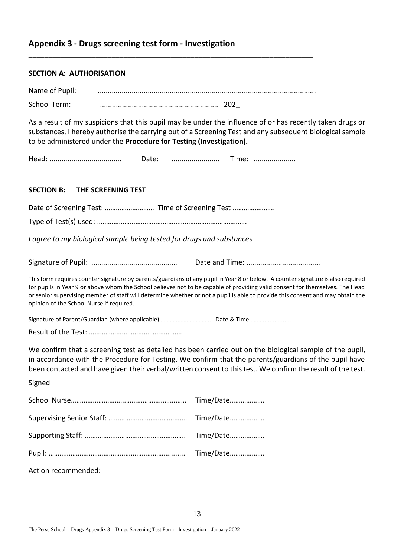## <span id="page-14-0"></span>**Appendix 3 - Drugs screening test form - Investigation**

## **SECTION A: AUTHORISATION**

| Name of Pupil: |  |
|----------------|--|
| School Term:   |  |

**\_\_\_\_\_\_\_\_\_\_\_\_\_\_\_\_\_\_\_\_\_\_\_\_\_\_\_\_\_\_\_\_\_\_\_\_\_\_\_\_\_\_\_\_\_\_\_\_\_\_\_\_\_\_\_\_\_\_\_\_\_\_\_\_\_\_\_\_\_\_\_\_**

As a result of my suspicions that this pupil may be under the influence of or has recently taken drugs or substances, I hereby authorise the carrying out of a Screening Test and any subsequent biological sample to be administered under the **Procedure for Testing (Investigation).**

| editi. |  |  |
|--------|--|--|
|        |  |  |

\_\_\_\_\_\_\_\_\_\_\_\_\_\_\_\_\_\_\_\_\_\_\_\_\_\_\_\_\_\_\_\_\_\_\_\_\_\_\_\_\_\_\_\_\_\_\_\_\_\_\_\_\_\_\_\_\_\_\_\_\_\_\_\_\_\_\_

## **SECTION B: THE SCREENING TEST**

Date of Screening Test: ................................ Time of Screening Test ..............................

Type of Test(s) used: ……………………………………………………………………….

*I agree to my biological sample being tested for drugs and substances.*

|--|--|

This form requires counter signature by parents/guardians of any pupil in Year 8 or below. A counter signature is also required for pupils in Year 9 or above whom the School believes not to be capable of providing valid consent for themselves. The Head or senior supervising member of staff will determine whether or not a pupil is able to provide this consent and may obtain the opinion of the School Nurse if required.

Signature of Parent/Guardian (where applicable)………………………………… Date & Time……………………

Result of the Test: ……………………………………………

We confirm that a screening test as detailed has been carried out on the biological sample of the pupil, in accordance with the Procedure for Testing. We confirm that the parents/guardians of the pupil have been contacted and have given their verbal/written consent to this test. We confirm the result of the test.

Signed

| Time/Date |
|-----------|
|           |
|           |
| Time/Date |
|           |

Action recommended: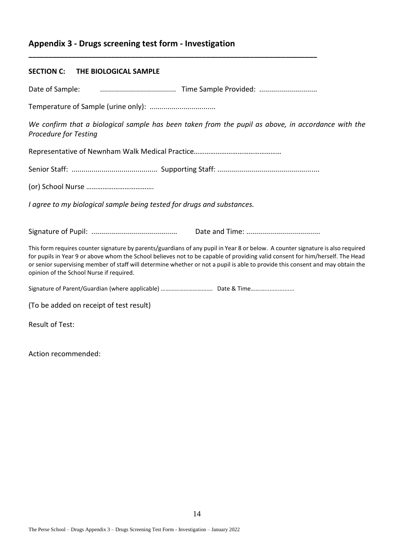# **Appendix 3 - Drugs screening test form - Investigation**

## **SECTION C: THE BIOLOGICAL SAMPLE**

Date of Sample: ...................................... Time Sample Provided: .............................

**\_\_\_\_\_\_\_\_\_\_\_\_\_\_\_\_\_\_\_\_\_\_\_\_\_\_\_\_\_\_\_\_\_\_\_\_\_\_\_\_\_\_\_\_\_\_\_\_\_\_\_\_\_\_\_\_\_\_\_\_\_\_\_\_\_\_\_\_\_\_\_\_\_**

Temperature of Sample (urine only): .................................

*We confirm that a biological sample has been taken from the pupil as above, in accordance with the Procedure for Testing*

Representative of Newnham Walk Medical Practice*…………………………………………*

Senior Staff: ........................................... Supporting Staff: ...................................................

(or) School Nurse ……………………………….

*I agree to my biological sample being tested for drugs and substances.*

Signature of Pupil: ........................................... Date and Time: .....................................

This form requires counter signature by parents/guardians of any pupil in Year 8 or below. A counter signature is also required for pupils in Year 9 or above whom the School believes not to be capable of providing valid consent for him/herself. The Head or senior supervising member of staff will determine whether or not a pupil is able to provide this consent and may obtain the opinion of the School Nurse if required.

Signature of Parent/Guardian (where applicable) ………………………………… Date & Time……………………

(To be added on receipt of test result)

Result of Test:

Action recommended: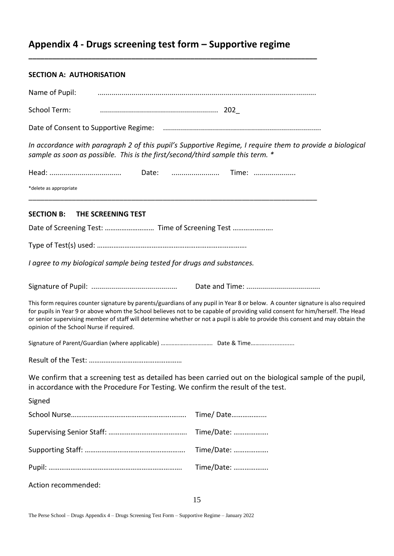# <span id="page-16-0"></span>**Appendix 4 - Drugs screening test form – Supportive regime**

**\_\_\_\_\_\_\_\_\_\_\_\_\_\_\_\_\_\_\_\_\_\_\_\_\_\_\_\_\_\_\_\_\_\_\_\_\_\_\_\_\_\_\_\_\_\_\_\_\_\_\_\_\_\_\_\_\_\_\_\_\_\_\_\_\_\_\_\_\_\_\_\_\_**

## **SECTION A: AUTHORISATION**

| Name of Pupil:                                                                                                                                                                                                                                                                                                                                                                                                                                 |                                                                                |                                                                                                          |  |  |
|------------------------------------------------------------------------------------------------------------------------------------------------------------------------------------------------------------------------------------------------------------------------------------------------------------------------------------------------------------------------------------------------------------------------------------------------|--------------------------------------------------------------------------------|----------------------------------------------------------------------------------------------------------|--|--|
| School Term:                                                                                                                                                                                                                                                                                                                                                                                                                                   |                                                                                |                                                                                                          |  |  |
|                                                                                                                                                                                                                                                                                                                                                                                                                                                |                                                                                |                                                                                                          |  |  |
|                                                                                                                                                                                                                                                                                                                                                                                                                                                | sample as soon as possible. This is the first/second/third sample this term. * | In accordance with paragraph 2 of this pupil's Supportive Regime, I require them to provide a biological |  |  |
|                                                                                                                                                                                                                                                                                                                                                                                                                                                |                                                                                | Date:  Time:                                                                                             |  |  |
| *delete as appropriate                                                                                                                                                                                                                                                                                                                                                                                                                         |                                                                                |                                                                                                          |  |  |
| <b>SECTION B:</b>                                                                                                                                                                                                                                                                                                                                                                                                                              | THE SCREENING TEST                                                             |                                                                                                          |  |  |
|                                                                                                                                                                                                                                                                                                                                                                                                                                                | Date of Screening Test:  Time of Screening Test                                |                                                                                                          |  |  |
|                                                                                                                                                                                                                                                                                                                                                                                                                                                |                                                                                |                                                                                                          |  |  |
| I agree to my biological sample being tested for drugs and substances.                                                                                                                                                                                                                                                                                                                                                                         |                                                                                |                                                                                                          |  |  |
|                                                                                                                                                                                                                                                                                                                                                                                                                                                |                                                                                |                                                                                                          |  |  |
| This form requires counter signature by parents/guardians of any pupil in Year 8 or below. A counter signature is also required<br>for pupils in Year 9 or above whom the School believes not to be capable of providing valid consent for him/herself. The Head<br>or senior supervising member of staff will determine whether or not a pupil is able to provide this consent and may obtain the<br>opinion of the School Nurse if required. |                                                                                |                                                                                                          |  |  |
|                                                                                                                                                                                                                                                                                                                                                                                                                                                |                                                                                |                                                                                                          |  |  |
|                                                                                                                                                                                                                                                                                                                                                                                                                                                |                                                                                |                                                                                                          |  |  |
| We confirm that a screening test as detailed has been carried out on the biological sample of the pupil,<br>in accordance with the Procedure For Testing. We confirm the result of the test.                                                                                                                                                                                                                                                   |                                                                                |                                                                                                          |  |  |
| Signed                                                                                                                                                                                                                                                                                                                                                                                                                                         |                                                                                |                                                                                                          |  |  |
|                                                                                                                                                                                                                                                                                                                                                                                                                                                |                                                                                | Time/Date                                                                                                |  |  |
|                                                                                                                                                                                                                                                                                                                                                                                                                                                |                                                                                | Time/Date:                                                                                               |  |  |
|                                                                                                                                                                                                                                                                                                                                                                                                                                                |                                                                                | Time/Date:                                                                                               |  |  |
|                                                                                                                                                                                                                                                                                                                                                                                                                                                |                                                                                | Time/Date:                                                                                               |  |  |
| Action recommended:                                                                                                                                                                                                                                                                                                                                                                                                                            |                                                                                |                                                                                                          |  |  |

The Perse School – Drugs Appendix 4 – Drugs Screening Test Form – Supportive Regime – January 2022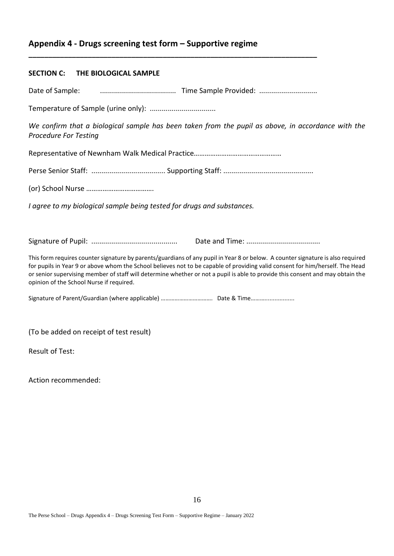# **Appendix 4 - Drugs screening test form – Supportive regime**

## **SECTION C: THE BIOLOGICAL SAMPLE**

Date of Sample: ...................................... Time Sample Provided: .............................

**\_\_\_\_\_\_\_\_\_\_\_\_\_\_\_\_\_\_\_\_\_\_\_\_\_\_\_\_\_\_\_\_\_\_\_\_\_\_\_\_\_\_\_\_\_\_\_\_\_\_\_\_\_\_\_\_\_\_\_\_\_\_\_\_\_\_\_\_\_\_\_\_\_**

Temperature of Sample (urine only): .................................

*We confirm that a biological sample has been taken from the pupil as above, in accordance with the Procedure For Testing*

Representative of Newnham Walk Medical Practice*…………………………………………*

Perse Senior Staff: ..................................... Supporting Staff: .............................................

(or) School Nurse ……………………………….

*I agree to my biological sample being tested for drugs and substances.*

Signature of Pupil: ........................................... Date and Time: .....................................

This form requires counter signature by parents/guardians of any pupil in Year 8 or below. A counter signature is also required for pupils in Year 9 or above whom the School believes not to be capable of providing valid consent for him/herself. The Head or senior supervising member of staff will determine whether or not a pupil is able to provide this consent and may obtain the opinion of the School Nurse if required.

Signature of Parent/Guardian (where applicable) ………………………………… Date & Time……………………

(To be added on receipt of test result)

Result of Test:

Action recommended: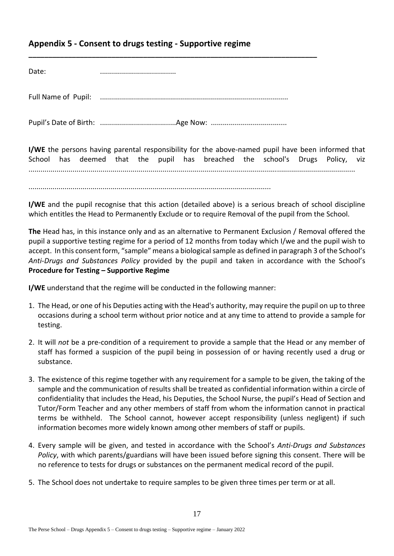# <span id="page-18-0"></span>**Appendix 5 - Consent to drugs testing - Supportive regime**

Full Name of Pupil: ..............................................................................................

**\_\_\_\_\_\_\_\_\_\_\_\_\_\_\_\_\_\_\_\_\_\_\_\_\_\_\_\_\_\_\_\_\_\_\_\_\_\_\_\_\_\_\_\_\_\_\_\_\_\_\_\_\_\_\_\_\_\_\_\_\_\_\_\_\_\_\_\_\_\_\_\_\_**

Pupil's Date of Birth: ......................................Age Now: ......................................

**I/WE** the persons having parental responsibility for the above-named pupil have been informed that School has deemed that the pupil has breached the school's Drugs Policy, viz ...................................................................................................................................................................

.........................................................................................................................

**I/WE** and the pupil recognise that this action (detailed above) is a serious breach of school discipline which entitles the Head to Permanently Exclude or to require Removal of the pupil from the School.

**The** Head has, in this instance only and as an alternative to Permanent Exclusion / Removal offered the pupil a supportive testing regime for a period of 12 months from today which I/we and the pupil wish to accept. In this consent form, "sample" means a biological sample as defined in paragrap[h 3](#page-3-0) of the School's *Anti-Drugs and Substances Policy* provided by the pupil and taken in accordance with the School's **Procedure for Testing – Supportive Regime**

**I/WE** understand that the regime will be conducted in the following manner:

- 1. The Head, or one of his Deputies acting with the Head's authority, may require the pupil on up to three occasions during a school term without prior notice and at any time to attend to provide a sample for testing.
- 2. It will *not* be a pre-condition of a requirement to provide a sample that the Head or any member of staff has formed a suspicion of the pupil being in possession of or having recently used a drug or substance.
- 3. The existence of this regime together with any requirement for a sample to be given, the taking of the sample and the communication of results shall be treated as confidential information within a circle of confidentiality that includes the Head, his Deputies, the School Nurse, the pupil's Head of Section and Tutor/Form Teacher and any other members of staff from whom the information cannot in practical terms be withheld. The School cannot, however accept responsibility (unless negligent) if such information becomes more widely known among other members of staff or pupils.
- 4. Every sample will be given, and tested in accordance with the School's *Anti-Drugs and Substances Policy*, with which parents/guardians will have been issued before signing this consent. There will be no reference to tests for drugs or substances on the permanent medical record of the pupil.
- 5. The School does not undertake to require samples to be given three times per term or at all.